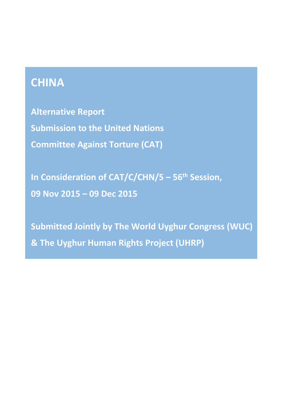# **CHINA**

**Alternative Report Submission to the United Nations Committee Against Torture (CAT)**

**In Consideration of CAT/C/CHN/5 – 56th Session, 09 Nov 2015 – 09 Dec 2015**

**Submitted Jointly by The World Uyghur Congress (WUC) & The Uyghur Human Rights Project (UHRP)**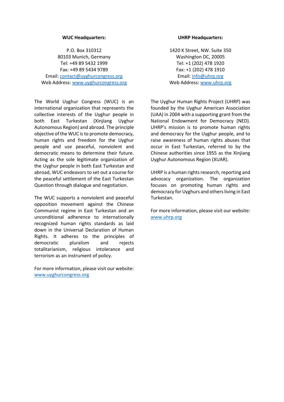#### **WUC Headquarters:**

P.O. Box 310312 80103 Munich, Germany Tel: +49 89 5432 1999 Fax: +49 89 5434 9789 Email[: contact@uyghurcongress.org](mailto:contact@uyghurcongress.org) Web Address: [www.uyghurcongress.org](http://www.uyghurcongress.org/)

The World Uyghur Congress (WUC) is an international organization that represents the collective interests of the Uyghur people in both East Turkestan (Xinjiang Uyghur Autonomous Region) and abroad. The principle objective of the WUC is to promote democracy, human rights and freedom for the Uyghur people and use peaceful, nonviolent and democratic means to determine their future. Acting as the sole legitimate organization of the Uyghur people in both East Turkestan and abroad, WUC endeavors to set out a course for the peaceful settlement of the East Turkestan Question through dialogue and negotiation.

The WUC supports a nonviolent and peaceful opposition movement against the Chinese Communist regime in East Turkestan and an unconditional adherence to internationally recognized human rights standards as laid down in the Universal Declaration of Human Rights. It adheres to the principles of democratic pluralism and rejects totalitarianism, religious intolerance and terrorism as an instrument of policy.

For more information, please visit our website: [www.uyghurcongress.org](http://www.uyghurcongress.org/)

#### **UHRP Headquarters:**

1420 K Street, NW. Suite 350 Washington DC, 20005 Tel: +1 (202) 478 1920 Fax: +1 (202) 478 1910 Email: [info@uhrp.org](mailto:info@uhrp.org) Web Address: [www.uhrp.org](http://www.uhrp.org/)

The Uyghur Human Rights Project (UHRP) was founded by the Uyghur American Association (UAA) in 2004 with a supporting grant from the National Endowment for Democracy (NED). UHRP's mission is to promote human rights and democracy for the Uyghur people, and to raise awareness of human rights abuses that occur in East Turkestan, referred to by the Chinese authorities since 1955 as the Xinjiang Uyghur Autonomous Region (XUAR).

UHRP is a human rights research, reporting and advocacy organization. The organization focuses on promoting human rights and democracy for Uyghurs and others living in East Turkestan.

For more information, please visit our website: [www.uhrp.org](http://www.uhrp.org/)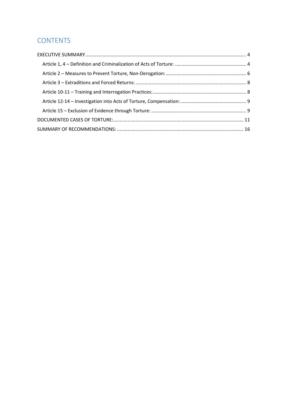# **CONTENTS**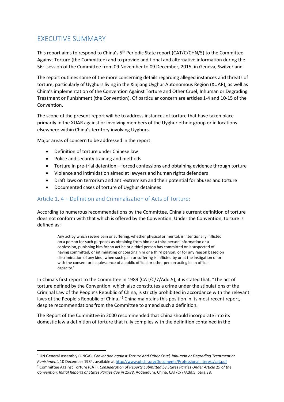# <span id="page-3-0"></span>EXECUTIVE SUMMARY

This report aims to respond to China's 5<sup>th</sup> Periodic State report (CAT/C/CHN/5) to the Committee Against Torture (the Committee) and to provide additional and alternative information during the 56<sup>th</sup> session of the Committee from 09 November to 09 December, 2015, in Geneva, Switzerland.

The report outlines some of the more concerning details regarding alleged instances and threats of torture, particularly of Uyghurs living in the Xinjiang Uyghur Autonomous Region (XUAR), as well as China's implementation of the Convention Against Torture and Other Cruel, Inhuman or Degrading Treatment or Punishment (the Convention). Of particular concern are articles 1-4 and 10-15 of the Convention.

The scope of the present report will be to address instances of torture that have taken place primarily in the XUAR against or involving members of the Uyghur ethnic group or in locations elsewhere within China's territory involving Uyghurs.

Major areas of concern to be addressed in the report:

Definition of torture under Chinese law

 $\overline{a}$ 

- Police and security training and methods
- Torture in pre-trial detention forced confessions and obtaining evidence through torture
- Violence and intimidation aimed at lawyers and human rights defenders
- Draft laws on terrorism and anti-extremism and their potential for abuses and torture
- Documented cases of torture of Uyghur detainees

# <span id="page-3-1"></span>Article 1, 4 – Definition and Criminalization of Acts of Torture:

According to numerous recommendations by the Committee, China's current definition of torture does not conform with that which is offered by the Convention. Under the Convention, torture is defined as:

Any act by which severe pain or suffering, whether physical or mental, is intentionally inflicted on a person for such purposes as obtaining from him or a third person information or a confession, punishing him for an act he or a third person has committed or is suspected of having committed, or intimidating or coercing him or a third person, or for any reason based on discrimination of any kind, when such pain or suffering is inflicted by or at the instigation of or with the consent or acquiescence of a public official or other person acting in an official capacity.<sup>1</sup>

In China's first report to the Committee in 1989 (CAT/C/7/Add.5), it is stated that, "The act of torture defined by the Convention, which also constitutes a crime under the stipulations of the Criminal Law of the People's Republic of China, is strictly prohibited in accordance with the relevant laws of the People's Republic of China."<sup>2</sup> China maintains this position in its most recent report, despite recommendations from the Committee to amend such a definition.

The Report of the Committee in 2000 recommended that China should incorporate into its domestic law a definition of torture that fully complies with the definition contained in the

<sup>1</sup> UN General Assembly (UNGA), *Convention against Torture and Other Cruel, Inhuman or Degrading Treatment or Punishment*, 10 December 1984, available at<http://www.ohchr.org/Documents/ProfessionalInterest/cat.pdf> <sup>2</sup> Committee Against Torture (CAT), *Consideration of Reports Submitted by States Parties Under Article 19 of the Convention: Initial Reports of States Parties due in 1988*, Addendum, China, CAT/C/7/Add.5, para.38.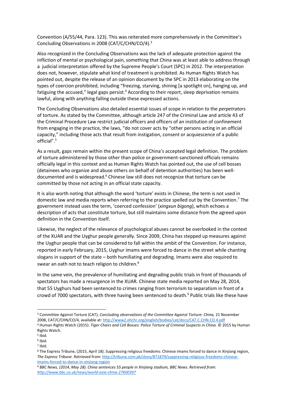Convention (A/55/44, Para. 123). This was reiterated more comprehensively in the Committee's Concluding Observations in 2008 (CAT/C/CHN/CO/4).<sup>3</sup>

Also recognized in the Concluding Observations was the lack of adequate protection against the infliction of mental or psychological pain, something that China was at least able to address through a judicial interpretation offered by the Supreme People's Court (SPC) in 2012. The interpretation does not, however, stipulate what kind of treatment is prohibited. As Human Rights Watch has pointed out, despite the release of an opinion document by the SPC in 2013 elaborating on the types of coercion prohibited, including "freezing, starving, shining [a spotlight on], hanging up, and fatiguing the accused," legal gaps persist.<sup>4</sup> According to their report, sleep deprivation remains lawful, along with anything falling outside these expressed actions.

The Concluding Observations also detailed essential issues of scope in relation to the *perpetrators* of torture. As stated by the Committee, although article 247 of the Criminal Law and article 43 of the Criminal Procedure Law restrict judicial officers and officers of an institution of confinement from engaging in the practice, the laws, "do not cover acts by "other persons acting in an official capacity," including those acts that result from instigation, consent or acquiescence of a public official".<sup>5</sup>

As a result, gaps remain within the present scope of China's accepted legal definition. The problem of torture administered by those other than police or government-sanctioned officials remains officially legal in this context and as Human Rights Watch has pointed out, the use of cell bosses (detainees who organize and abuse others on behalf of detention authorities) has been welldocumented and is widespread.<sup>6</sup> Chinese law still does not recognize that torture can be committed by those not acting in an official state capacity.

It is also worth noting that although the word 'torture' exists in Chinese, the term is not used in domestic law and media reports when referring to the practice spelled out by the Convention.<sup>7</sup> The government instead uses the term, 'coerced confession' (*xingxun bigong*), which echoes a description of acts that constitute torture, but still maintains some distance from the agreed upon definition in the Convention itself.

Likewise, the neglect of the relevance of psychological abuses cannot be overlooked in the context of the XUAR and the Uyghur people generally. Since 2009, China has stepped up measures against the Uyghur people that can be considered to fall within the ambit of the Convention. For instance, reported in early February, 2015, Uyghur imams were forced to dance in the street while chanting slogans in support of the state – both humiliating and degrading. Imams were also required to swear an oath not to teach religion to children.<sup>8</sup>

In the same vein, the prevalence of humiliating and degrading public trials in front of thousands of spectators has made a resurgence in the XUAR. Chinese state media reported on May 28, 2014, that 55 Uyghurs had been sentenced to crimes ranging from terrorism to separatism in front of a crowd of 7000 spectators, with three having been sentenced to death.<sup>9</sup> Public trials like these have

 $\overline{a}$ 

7 Ibid.

<sup>3</sup> Committee Against Torture (CAT), *Concluding observations of the Committee Against Torture: China,* 21 November 2008, CAT/C/CHN/CO/4, available at[: http://www2.ohchr.org/english/bodies/cat/docs/CAT.C.CHN.CO.4.pdf](http://www2.ohchr.org/english/bodies/cat/docs/CAT.C.CHN.CO.4.pdf) <sup>4</sup> Human Rights Watch (2015). *Tiger Chairs and Cell Bosses: Police Torture of Criminal Suspects in China.* © 2015 by Human Rights Watch.

<sup>5</sup> Ibid. 6 Ibid.

<sup>8</sup> The Express Tribune, (2015, April 18). Suppressing religious freedoms: Chinese imams forced to dance in Xinjiang region, *The Express Tribune*. Retrieved from[: http://tribune.com.pk/story/871879/suppressing-religious-freedoms-chinese](http://tribune.com.pk/story/871879/suppressing-religious-freedoms-chinese-imams-forced-to-dance-in-xinjiang-region)[imams-forced-to-dance-in-xinjiang-region](http://tribune.com.pk/story/871879/suppressing-religious-freedoms-chinese-imams-forced-to-dance-in-xinjiang-region)

*<sup>9</sup> BBC News, (2014, May 28). China sentences 55 people in Xinjiang stadium, BBC News. Retrieved from: <http://www.bbc.co.uk/news/world-asia-china-27600397>*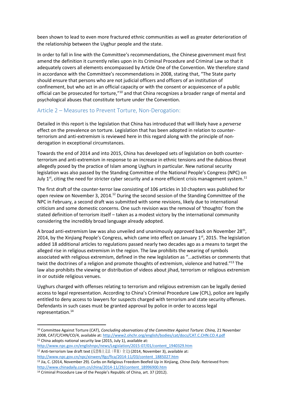been shown to lead to even more fractured ethnic communities as well as greater deterioration of the relationship between the Uyghur people and the state.

In order to fall in line with the Committee's recommendations, the Chinese government must first amend the definition it currently relies upon in its Criminal Procedure and Criminal Law so that it adequately covers all elements encompassed by Article One of the Convention. We therefore stand in accordance with the Committee's recommendations in 2008, stating that, "The State party should ensure that persons who are not judicial officers and officers of an institution of confinement, but who act in an official capacity or with the consent or acquiescence of a public official can be prosecuted for torture,"<sup>10</sup> and that China recognizes a broader range of mental and psychological abuses that constitute torture under the Convention.

#### <span id="page-5-0"></span>Article 2 – Measures to Prevent Torture, Non-Derogation:

Detailed in this report is the legislation that China has introduced that will likely have a *perverse* effect on the prevalence on torture. Legislation that has been adopted in relation to counterterrorism and anti-extremism is reviewed here in this regard along with the principle of nonderogation in exceptional circumstances.

Towards the end of 2014 and into 2015, China has developed sets of legislation on both counterterrorism and anti-extremism in response to an increase in ethnic tensions and the dubious threat allegedly posed by the practice of Islam among Uyghurs in particular. New national security legislation was also passed by the Standing Committee of the National People's Congress (NPC) on July  $1^{st}$ , citing the need for stricter cyber security and a more efficient crisis management system.<sup>11</sup>

The first draft of the counter-terror law consisting of 106 articles in 10 chapters was published for open review on November 3, 2014.<sup>12</sup> During the second session of the Standing Committee of the NPC in February, a second draft was submitted with some revisions, likely due to international criticism and some domestic concerns. One such revision was the removal of 'thoughts' from the stated definition of terrorism itself – taken as a modest victory by the international community considering the incredibly broad language already adopted.

A broad anti-extremism law was also unveiled and unanimously approved back on November 28<sup>th</sup>, 2014, by the Xinjiang People's Congress, which came into effect on January  $1<sup>st</sup>$ , 2015. The legislation added 18 additional articles to regulations passed nearly two decades ago as a means to target the alleged rise in religious extremism in the region. The law prohibits the wearing of symbols associated with religious extremism, defined in the new legislation as "…activities or comments that twist the doctrines of a religion and promote thoughts of extremism, violence and hatred."<sup>13</sup> The law also prohibits the viewing or distribution of videos about jihad, terrorism or religious extremism in or outside religious venues.

Uyghurs charged with offenses relating to terrorism and religious extremism can be legally denied access to legal representation. According to China's Criminal Procedure Law (CPL), police are legally entitled to deny access to lawyers for suspects charged with terrorism and state security offenses. Defendants in such cases must be granted approval by police in order to access legal representation.<sup>14</sup>

[http://www.npc.gov.cn/englishnpc/news/Legislation/2015-07/01/content\\_1940329.htm](http://www.npc.gov.cn/englishnpc/news/Legislation/2015-07/01/content_1940329.htm) <sup>12</sup> Anti-terrorism law draft text (反恐怖主义法(草案)全文) (2014, November 3), available at:

<sup>13</sup> Jia, C. (2014, November 29). Curbs on Religious Freedom Beefed Up in Xinjiang, *China Daily*. Retrieved from: [http://www.chinadaily.com.cn/china/2014-11/29/content\\_18996900.htm](http://www.chinadaily.com.cn/china/2014-11/29/content_18996900.htm)

<sup>10</sup> Committee Against Torture (CAT), *Concluding observations of the Committee Against Torture: China,* 21 November 2008, CAT/C/CHN/CO/4, available at[: http://www2.ohchr.org/english/bodies/cat/docs/CAT.C.CHN.CO.4.pdf](http://www2.ohchr.org/english/bodies/cat/docs/CAT.C.CHN.CO.4.pdf)  $11$  China adopts national security law (2015, July 1), available at:

[http://www.npc.gov.cn/npc/xinwen/lfgz/flca/2014-11/03/content\\_1885027.htm](http://www.npc.gov.cn/npc/xinwen/lfgz/flca/2014-11/03/content_1885027.htm)

<sup>14</sup> Criminal Procedure Law of the People's Republic of China, art. 37 (2012).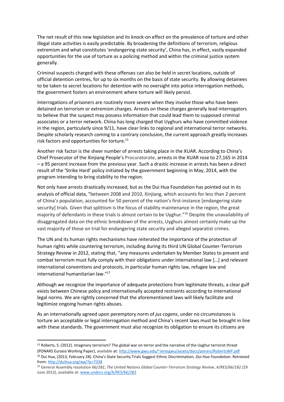The net result of this new legislation and its knock-on effect on the prevalence of torture and other illegal state activities is easily predictable. By broadening the definitions of terrorism, religious extremism and what constitutes 'endangering state security', China has, in effect, vastly expanded opportunities for the use of torture as a policing method and within the criminal justice system generally.

Criminal suspects charged with these offenses can also be held in secret locations, outside of official detention centres, for up to six months on the basis of state security. By allowing detainees to be taken to secret locations for detention with no oversight into police interrogation methods, the government fosters an environment where torture will likely persist.

Interrogations of prisoners are routinely more severe when they involve those who have been detained on terrorism or extremism charges. Arrests on these charges generally lead interrogators to believe that the suspect may possess information that could lead them to supposed criminal associates or a terror network. China has long charged that Uyghurs who have committed violence in the region, particularly since 9/11, have clear links to regional and international terror networks. Despite scholarly research coming to a contrary conclusion, the current approach greatly increases risk factors and opportunities for torture.<sup>15</sup>

Another risk factor is the sheer number of arrests taking place in the XUAR. According to China's Chief Prosecutor of the Xinjiang People's Procuratorate, arrests in the XUAR rose to 27,165 in 2014 – a 95 percent increase from the previous year. Such a drastic increase in arrests has been a direct result of the 'Strike Hard' policy initiated by the government beginning in May, 2014, with the program intending to bring stability to the region.

Not only have arrests drastically increased, but as the Dui Hua Foundation has pointed out in its analysis of official data, "between 2008 and 2010, Xinjiang, which accounts for less than 2 percent of China's population, accounted for 50 percent of the nation's first-instance [endangering state security] trials. Given that splittism is the focus of stability maintenance in the region, the great majority of defendants in these trials is almost certain to be Uyghur."<sup>16</sup> Despite the unavailability of disaggregated data on the ethnic breakdown of the arrests, Uyghurs almost certainly make up the vast majority of those on trial for endangering state security and alleged separatist crimes.

The UN and its human rights mechanisms have reiterated the importance of the protection of human rights while countering terrorism, including during its third UN Global Counter-Terrorism Strategy Review in 2012, stating that, "any measures undertaken by Member States to prevent and combat terrorism must fully comply with their obligations under international law […] and relevant international conventions and protocols, in particular human rights law, refugee law and international humanitarian law." 17

Although we recognize the importance of adequate protections from legitimate threats, a clear gulf exists between Chinese policy and internationally accepted restraints according to international legal norms. We are rightly concerned that the aforementioned laws will likely facilitate and legitimize ongoing human rights abuses.

As an internationally agreed upon peremptory norm of *jus cogens*, under no circumstances is torture an acceptable or legal interrogation method and China's recent laws must be brought in line with these standards. The government must also recognize its obligation to ensure its citizens are

<sup>15</sup> Roberts, S. (2012). Imaginary terrorism? The global war on terror and the narrative of the Uyghur terrorist threat (PONARS Eurasia Working Paper), available at: <http://www.gwu.edu/~ieresgwu/assets/docs/ponars/RobertsWP.pdf> <sup>16</sup> Dui Hua, (2013, February 28). China's State Security Trials Suggest Ethnic Discrimination, *Dui Hua Foundation*. Retrieved from[: http://duihua.org/wp/?p=7338](http://duihua.org/wp/?p=7338)

<sup>17</sup> General Assembly resolution 66/282, *The United Nations Global Counter-Terrorism Strategy Review*, A/RES/66/182 (29 June 2012), available at[: www.undocs.org/A/RES/66/282](http://www.undocs.org/A/RES/66/282)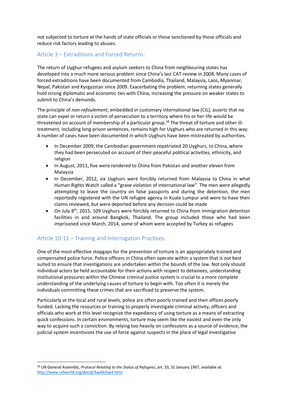not subjected to torture at the hands of state officials or those sanctioned by those officials and reduce risk factors leading to abuses.

#### <span id="page-7-0"></span>Article 3 – Extraditions and Forced Returns:

The return of Uyghur refugees and asylum seekers to China from neighbouring states has developed into a much more serious problem since China's last CAT review in 2008. Many cases of forced extraditions have been documented from Cambodia, Thailand, Malaysia, Laos, Myanmar, Nepal, Pakistan and Kyrgyzstan since 2009. Exacerbating the problem, returning states generally hold strong diplomatic and economic ties with China, increasing the pressure on weaker states to submit to China's demands.

The principle of *non-refoulement*, embedded in customary international law (CIL), asserts that no state can expel or return a victim of persecution to a territory where his or her life would be threatened on account of membership of a particular group.<sup>18</sup> The threat of torture and other illtreatment, including long prison sentences, remains high for Uyghurs who are returned in this way. A number of cases have been documented in which Uyghurs have been mistreated by authorities.

- In December 2009, the Cambodian government repatriated 20 Uyghurs, to China, where they had been persecuted on account of their peaceful political activities, ethnicity, and religion
- In August, 2011, five were rendered to China from Pakistan and another eleven from Malaysia
- In December, 2012, six Uyghurs were forcibly returned from Malaysia to China in what Human Rights Watch called a "grave violation of international law". The men were allegedly attempting to leave the country on false passports and during the detention, the men reportedly registered with the UN refugee agency in Kuala Lumpur and were to have their claims reviewed, but were deported before any decision could be made
- On July 8th, 2015, 109 Uyghurs were forcibly returned to China from immigration detention facilities in and around Bangkok, Thailand. The group included those who had been imprisoned since March, 2014, some of whom were accepted by Turkey as refugees

# <span id="page-7-1"></span>Article 10-11 – Training and Interrogation Practices:

**.** 

One of the most effective stopgaps for the prevention of torture is an appropriately trained and compensated police force. Police officers in China often operate within a system that is not best suited to ensure that investigations are undertaken within the bounds of the law. Not only should individual actors be held accountable for their actions with respect to detainees, understanding institutional pressures within the Chinese criminal justice system is crucial to a more complete understanding of the underlying causes of torture to begin with. Too often it is merely the individuals committing these crimes that are sacrificed to preserve the system.

Particularly at the local and rural levels, police are often poorly trained and their offices poorly funded. Lacking the resources or training to properly investigate criminal activity, officers and officials who work at this level recognize the expediency of using torture as a means of extracting quick confessions. In certain environments, torture may seem like the easiest and even the only way to acquire such a conviction. By relying too heavily on confessions as a source of evidence, the judicial system incentivizes the use of force against suspects in the place of legal investigative

<sup>18</sup> UN General Assembly, *Protocol Relating to the Status of Refugees*, art. 33, 31 January 1967, available at: <http://www.refworld.org/docid/3ae6b3ae4.html>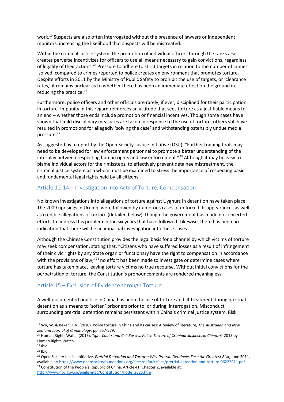work.<sup>19</sup> Suspects are also often interrogated without the presence of lawyers or independent monitors, increasing the likelihood that suspects will be mistreated.

Within the criminal justice system, the promotion of individual officers through the ranks also creates perverse incentivizes for officers to use all means necessary to gain convictions, regardless of legality of their actions.<sup>20</sup> Pressure to adhere to strict targets in relation to the number of crimes 'solved' compared to crimes reported to police creates an environment that promotes torture. Despite efforts in 2011 by the Ministry of Public Safety to prohibit the use of targets, or 'clearance rates,' it remains unclear as to whether there has been an immediate effect on the ground in reducing the practice. $21$ 

Furthermore, police officers and other officials are rarely, if ever, disciplined for their participation in torture. Impunity in this regard reinforces an attitude that sees torture as a justifiable means to an end – whether those ends include promotion or financial incentives. Though some cases have shown that mild disciplinary measures are taken in response to the use of torture, others still have resulted in promotions for allegedly 'solving the case' and withstanding ostensibly undue media pressure.<sup>22</sup>

As suggested by a report by the Open Society Justice Initiative (OSJI), "Further training tools may need to be developed for law enforcement personnel to promote a better understanding of the interplay between respecting human rights and law enforcement."<sup>23</sup> Although it may be easy to blame individual actors for their missteps, to effectively prevent detainee mistreatment, the criminal justice system as a whole must be examined to stress the importance of respecting basic and fundamental legal rights held by all citizens.

## <span id="page-8-0"></span>Article 12-14 – Investigation into Acts of Torture, Compensation:

No known investigations into allegations of torture against Uyghurs in detention have taken place. The 2009 uprisings in Urumqi were followed by numerous cases of enforced disappearances as well as credible allegations of torture (detailed below), though the government has made no concerted efforts to address this problem in the six years that have followed. Likewise, there has been no indication that there will be an impartial investigation into these cases.

Although the Chinese Constitution provides the legal basis for a channel by which victims of torture may seek compensation, stating that, "Citizens who have suffered losses as a result of infringement of their civic rights by any State organ or functionary have the right to compensation in accordance with the provisions of law,"<sup>24</sup> no effort has been made to investigate or determine cases where torture has taken place, leaving torture victims no true recourse. Without initial convictions for the perpetration of torture, the Constitution's pronouncements are rendered meaningless.

## <span id="page-8-1"></span>Article 15 – Exclusion of Evidence through Torture:

A well-documented practice in China has been the use of torture and ill-treatment during pre-trial detention as a means to 'soften' prisoners prior to, or during, interrogation. Misconduct surrounding pre-trial detention remains persistent within China's criminal justice system. Risk

1

<sup>19</sup> Wu, W. & Beken, T.V. (2010). Police torture in China and its causes: A review of literature, *The Australian and New Zealand Journal of Criminology,* pp. 557-579.

<sup>20</sup> Human Rights Watch (2015). *Tiger Chairs and Cell Bosses: Police Torture of Criminal Suspects in China.* © 2015 by Human Rights Watch.

 $21$  Ibid.

<sup>22</sup> Ibid.

<sup>23</sup> Open Society Justice Initiative, *Pretrial Detention and Torture: Why Pretrial Detainees Face the Greatest Risk*, June 2011, available at[: https://www.opensocietyfoundations.org/sites/default/files/pretrial-detention-and-torture-06222011.pdf](https://www.opensocietyfoundations.org/sites/default/files/pretrial-detention-and-torture-06222011.pdf)

<sup>&</sup>lt;sup>24</sup> Constitution of the People's Republic of China. Article 41, Chapter 2, available at: [http://www.npc.gov.cn/englishnpc/Constitution/node\\_2825.htm](http://www.npc.gov.cn/englishnpc/Constitution/node_2825.htm)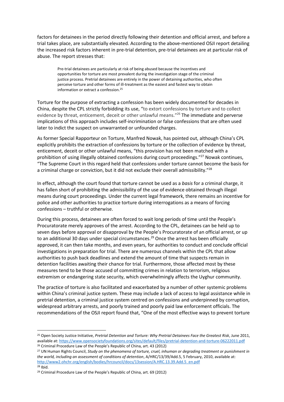factors for detainees in the period directly following their detention and official arrest, and before a trial takes place, are substantially elevated. According to the above-mentioned OSJI report detailing the increased risk factors inherent in pre-trial detention, pre-trial detainees are at particular risk of abuse. The report stresses that:

Pre-trial detainees are particularly at risk of being abused because the incentives and opportunities for torture are most prevalent during the investigation stage of the criminal justice process. Pretrial detainees are entirely in the power of detaining authorities, who often perceive torture and other forms of ill-treatment as the easiest and fastest way to obtain information or extract a confession.<sup>25</sup>

Torture for the purpose of extracting a confession has been widely documented for decades in China, despite the CPL strictly forbidding its use, "to extort confessions by torture and to collect evidence by threat, enticement, deceit or other unlawful means."<sup>26</sup> The immediate and perverse implications of this approach includes self-incrimination or false confessions that are often used later to indict the suspect on unwarranted or unfounded charges.

As former Special Rapporteur on Torture, Manfred Nowak, has pointed out, although China's CPL explicitly prohibits the extraction of confessions by torture or the collection of evidence by threat, enticement, deceit or other unlawful means, "this provision has not been matched with a prohibition of using illegally obtained confessions during court proceedings."<sup>27</sup> Nowak continues, "The Supreme Court in this regard held that confessions under torture cannot become the basis for a criminal charge or conviction, but it did not exclude their overall admissibility."<sup>28</sup>

In effect, although the court found that torture cannot be used as a *basis* for a criminal charge, it has fallen short of prohibiting the admissibility of the use of evidence obtained through illegal means during court proceedings. Under the current legal framework, there remains an incentive for police and other authorities to practice torture during interrogations as a means of forcing confessions – truthful or otherwise.

During this process, detainees are often forced to wait long periods of time until the People's Procuratorate merely approves of the arrest. According to the CPL, detainees can be held up to seven days before approval or disapproval by the People's Procuratorate of an official arrest, or up to an additional 30 days under special circumstances.<sup>29</sup> Once the arrest has been officially approved, it can then take months, and even years, for authorities to conduct and conclude official investigations in preparation for trial. There are numerous channels within the CPL that allow authorities to push back deadlines and extend the amount of time that suspects remain in detention facilities awaiting their chance for trial. Furthermore, those affected most by these measures tend to be those accused of committing crimes in relation to terrorism, religious extremism or endangering state security, which overwhelmingly affects the Uyghur community.

The practice of torture is also facilitated and exacerbated by a number of other systemic problems within China's criminal justice system. These may include a lack of access to legal assistance while in pretrial detention, a criminal justice system centred on confessions and underpinned by corruption, widespread arbitrary arrests, and poorly trained and poorly paid law enforcement officials. The recommendations of the OSJI report found that, "One of the most effective ways to prevent torture

<sup>25</sup> Open Society Justice Initiative, *Pretrial Detention and Torture: Why Pretrial Detainees Face the Greatest Risk*, June 2011, available at[: https://www.opensocietyfoundations.org/sites/default/files/pretrial-detention-and-torture-06222011.pdf](https://www.opensocietyfoundations.org/sites/default/files/pretrial-detention-and-torture-06222011.pdf)

<sup>26</sup> Criminal Procedure Law of the People's Republic of China, art. 43 (2012)

<sup>27</sup> UN Human Rights Council, *Study on the phenomena of torture, cruel, inhuman or degrading treatment or punishment in the world, including an assessment of conditions of detention*, A/HRC/13/39/Add.5, 5 February, 2010, available at: [http://www2.ohchr.org/english/bodies/hrcouncil/docs/13session/A.HRC.13.39.Add.5\\_en.pdf](http://www2.ohchr.org/english/bodies/hrcouncil/docs/13session/A.HRC.13.39.Add.5_en.pdf) <sup>28</sup> Ibid.

<sup>29</sup> Criminal Procedure Law of the People's Republic of China, art. 69 (2012)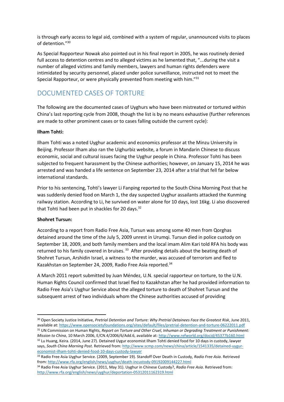is through early access to legal aid, combined with a system of regular, unannounced visits to places of detention." 30

As Special Rapporteur Nowak also pointed out in his final report in 2005, he was routinely denied full access to detention centres and to alleged victims as he lamented that, "...during the visit a number of alleged victims and family members, lawyers and human rights defenders were intimidated by security personnel, placed under police surveillance, instructed not to meet the Special Rapporteur, or were physically prevented from meeting with him."<sup>31</sup>

# <span id="page-10-0"></span>DOCUMENTED CASES OF TORTURE

The following are the documented cases of Uyghurs who have been mistreated or tortured within China's last reporting cycle from 2008, though the list is by no means exhaustive (further references are made to other prominent cases or to cases falling outside the current cycle):

#### **Ilham Tohti:**

Ilham Tohti was a noted Uyghur academic and economics professor at the Minzu University in Beijing. Professor Ilham also ran the Uighurbiz website, a forum in Mandarin Chinese to discuss economic, social and cultural issues facing the Uyghur people in China. Professor Tohti has been subjected to frequent harassment by the Chinese authorities; however, on January 15, 2014 he was arrested and was handed a life sentence on September 23, 2014 after a trial that fell far below international standards.

Prior to his sentencing, Tohti's lawyer Li Fanping reported to the South China Morning Post that he was suddenly denied food on March 1, the day suspected Uyghur assailants attacked the Kunming railway station. According to Li, he survived on water alone for 10 days, lost 16kg. Li also discovered that Tohti had been put in shackles for 20 days. $32$ 

#### **Shohret Tursun:**

According to a report from Radio Free Asia, Tursun was among some 40 men from Qorghas detained around the time of the July 5, 2009 unrest in Urumqi. Tursun died in police custody on September 18, 2009, and both family members and the local imam Alim Kari told RFA his body was returned to his family covered in bruises.<sup>33</sup> After providing details about the beating death of Shohret Tursun, Arshidin Israel, a witness to the murder, was accused of terrorism and fled to Kazakhstan on September 24, 2009, Radio Free Asia reported.<sup>34</sup>

A March 2011 report submitted by Juan Méndez, U.N. special rapporteur on torture, to the U.N. Human Rights Council confirmed that Israel fled to Kazakhstan after he had provided information to Radio Free Asia's Uyghur Service about the alleged torture to death of Shohret Tursun and the subsequent arrest of two individuals whom the Chinese authorities accused of providing

[economist-ilham-tohti-denied-food-10-days-custody-lawyer](http://www.scmp.com/news/china/article/1541335/detained-uygur-economist-ilham-tohti-denied-food-10-days-custody-lawyer)

**<sup>.</sup>** <sup>30</sup> Open Society Justice Initiative, *Pretrial Detention and Torture: Why Pretrial Detainees Face the Greatest Risk*, June 2011, available at[: https://www.opensocietyfoundations.org/sites/default/files/pretrial-detention-and-torture-06222011.pdf](https://www.opensocietyfoundations.org/sites/default/files/pretrial-detention-and-torture-06222011.pdf)

<sup>31</sup> UN Commission on Human Rights, *Report on Torture and Other Cruel, Inhuman or Degrading Treatment or Punishment: Mission to China*, 10 March 2006, E/CN.4/2006/6/Add.6, available at[: http://www.refworld.org/docid/45377b160.html](http://www.refworld.org/docid/45377b160.html) 32 Lu Huang, Keira. (2014, June 27). Detained Uygur economist Ilham Tohti denied food for 10 days in custody, lawyer says, *South China Morning Post*. Retrieved from[: http://www.scmp.com/news/china/article/1541335/detained-uygur-](http://www.scmp.com/news/china/article/1541335/detained-uygur-economist-ilham-tohti-denied-food-10-days-custody-lawyer)

<sup>33</sup> Radio Free Asia Uyghur Service. (2009, September 19). Standoff Over Death in Custody, *Radio Free Asia*. Retrieved from[: http://www.rfa.org/english/news/uyghur/death-incustody-09192009144227.html](http://www.rfa.org/english/news/uyghur/death-incustody-09192009144227.html)

<sup>34</sup> Radio Free Asia Uyghur Service. (2011, May 31). Uyghur in Chinese Custody?, *Radio Free Asia*. Retrieved from: <http://www.rfa.org/english/news/uyghur/deportation-05312011162319.html>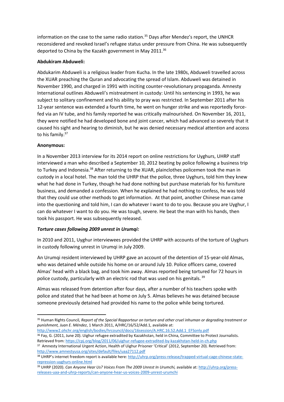information on the case to the same radio station.<sup>35</sup> Days after Mendez's report, the UNHCR reconsidered and revoked Israel's refugee status under pressure from China. He was subsequently deported to China by the Kazakh government in May 2011.<sup>36</sup>

#### **Abdukiram Abduweli:**

Abdukarim Abduweli is a religious leader from Kucha. In the late 1980s, Abduweli travelled across the XUAR preaching the Quran and advocating the spread of Islam. Abduweli was detained in November 1990, and charged in 1991 with inciting counter-revolutionary propaganda. Amnesty International outlines Abduweli's mistreatment in custody: Until his sentencing in 1993, he was subject to solitary confinement and his ability to pray was restricted. In September 2011 after his 12-year sentence was extended a fourth time, he went on hunger strike and was reportedly forcefed via an IV tube, and his family reported he was critically malnourished. On November 16, 2011, they were notified he had developed bone and joint cancer, which had advanced so severely that it caused his sight and hearing to diminish, but he was denied necessary medical attention and access to his family.<sup>37</sup>

#### **Anonymous:**

In a November 2013 interview for its 2014 report on online restrictions for Uyghurs, UHRP staff interviewed a man who described a September 10, 2012 beating by police following a business trip to Turkey and Indonesia.<sup>38</sup> After returning to the XUAR, plainclothes policemen took the man in custody in a local hotel. The man told the UHRP that the police, three Uyghurs, told him they knew what he had done in Turkey, though he had done nothing but purchase materials for his furniture business, and demanded a confession. When he explained he had nothing to confess, he was told that they could use other methods to get information. At that point, another Chinese man came into the questioning and told him, I can do whatever I want to do to you. Because you are Uyghur, I can do whatever I want to do you. He was tough, severe. He beat the man with his hands, then took his passport. He was subsequently released.

#### *Torture cases following 2009 unrest in Urumqi:*

In 2010 and 2011, Uyghur interviewees provided the UHRP with accounts of the torture of Uyghurs in custody following unrest in Urumqi in July 2009.

An Urumqi resident interviewed by UHRP gave an account of the detention of 15-year-old Almas, who was detained while outside his home on or around July 10. Police officers came, covered Almas' head with a black bag, and took him away. Almas reported being tortured for 72 hours in police custody, particularly with an electric rod that was used on his genitals.<sup>39</sup>

Almas was released from detention after four days, after a number of his teachers spoke with police and stated that he had been at home on July 5. Almas believes he was detained because someone previously detained had provided his name to the police while being tortured.

[http://www2.ohchr.org/english/bodies/hrcouncil/docs/16session/A.HRC.16.52.Add.1\\_EFSonly.pdf](http://www2.ohchr.org/english/bodies/hrcouncil/docs/16session/A.HRC.16.52.Add.1_EFSonly.pdf) 36 Fay, G. (2011, June 20). Uighur refugee extradited by Kazakhstan, held in China, Committee to Protect Journalists.

**<sup>.</sup>** <sup>35</sup> Human Rights Council*, Report of the Special Rapporteur on torture and other cruel inhuman or degrading treatment or punishment, Juan E. Méndez*, 1 March 2011, A/HRC/16/52/Add.1, available at:

Retrieved from[: https://cpj.org/blog/2011/06/uighur-refugee-extradited-by-kazakhstan-held-in-ch.php](https://cpj.org/blog/2011/06/uighur-refugee-extradited-by-kazakhstan-held-in-ch.php) <sup>37</sup> Amnesty International Urgent Action, Health of Uighur Prisoner 'Critical' (2012, September 20). Retrieved from: <http://www.amnestyusa.org/sites/default/files/uaa27112.pdf>

<sup>38</sup> UHRP's internet freedom report is available here: [http://uhrp.org/press-release/trapped-virtual-cage-chinese-state](http://uhrp.org/press-release/trapped-virtual-cage-chinese-state-repression-uyghurs-online.html)[repression-uyghurs-online.html](http://uhrp.org/press-release/trapped-virtual-cage-chinese-state-repression-uyghurs-online.html)

<sup>39</sup> UHRP (2020). *Can Anyone Hear Us? Voices From The 2009 Unrest In Urumchi,* available at[: http://uhrp.org/press](http://uhrp.org/press-releases-uaa-and-uhrp-reports/can-anyone-hear-us-voices-2009-unrest-urumchi)[releases-uaa-and-uhrp-reports/can-anyone-hear-us-voices-2009-unrest-urumchi](http://uhrp.org/press-releases-uaa-and-uhrp-reports/can-anyone-hear-us-voices-2009-unrest-urumchi)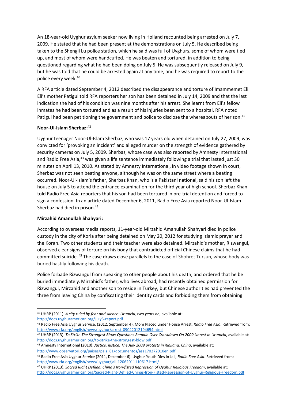An 18-year-old Uyghur asylum seeker now living in Holland recounted being arrested on July 7, 2009. He stated that he had been present at the demonstrations on July 5. He described being taken to the Shengli Lu police station, which he said was full of Uyghurs, some of whom were tied up, and most of whom were handcuffed. He was beaten and tortured, in addition to being questioned regarding what he had been doing on July 5. He was subsequently released on July 9, but he was told that he could be arrested again at any time, and he was required to report to the police every week.<sup>40</sup>

A RFA article dated September 4, 2012 described the disappearance and torture of Imammemet Eli. Eli's mother Patigul told RFA reporters her son has been detained in July 14, 2009 and that the last indication she had of his condition was nine months after his arrest. She learnt from Eli's fellow inmates he had been tortured and as a result of his injuries been sent to a hospital. RFA noted Patigul had been petitioning the government and police to disclose the whereabouts of her son.<sup>41</sup>

#### **Noor-Ul-Islam Sherbaz:** 42

Uyghur teenager Noor-Ul-Islam Sherbaz, who was 17 years old when detained on July 27, 2009, was convicted for 'provoking an incident' and alleged murder on the strength of evidence gathered by security cameras on July 5, 2009. Sherbaz, whose case was also reported by Amnesty International and Radio Free Asia,<sup>43</sup> was given a life sentence immediately following a trial that lasted just 30 minutes on April 13, 2010. As stated by Amnesty International, in video footage shown in court, Sherbaz was not seen beating anyone, although he was on the same street where a beating occurred. Noor-Ul-Islam's father, Sherbaz Khan, who is a Pakistani national, said his son left the house on July 5 to attend the entrance examination for the third year of high school. Sherbaz Khan told Radio Free Asia reporters that his son had been tortured in pre-trial detention and forced to sign a confession. In an article dated December 6, 2011, Radio Free Asia reported Noor-Ul-Islam Sherbaz had died in prison.<sup>44</sup>

#### **Mirzahid Amanullah Shahyari:**

According to overseas media reports, 11-year-old Mirzahid Amanullah Shahyari died in police custody in the city of Korla after being detained on May 20, 2012 for studying Islamic prayer and the Koran. Two other students and their teacher were also detained. Mirzahid's mother, Rizwangul, observed clear signs of torture on his body that contradicted official Chinese claims that he had committed suicide. <sup>45</sup> The case draws close parallels to the case of Shohret Tursun, whose body was buried hastily following his death.

Police forbade Rizwangul from speaking to other people about his death, and ordered that he be buried immediately. Mirzahid's father, who lives abroad, had recently obtained permission for Rizwangul, Mirzahid and another son to reside in Turkey, but Chinese authorities had prevented the three from leaving China by confiscating their identity cards and forbidding them from obtaining

**<sup>.</sup>** <sup>40</sup> UHRP (2011). *A city ruled by fear and silence: Urumchi, two years on*, available at: <http://docs.uyghuramerican.org/July5-report.pdf>

<sup>41</sup> Radio Free Asia Uyghur Service. (2012, September 4). Mom Placed under House Arrest, *Radio Free Asia*. Retrieved from: <http://www.rfa.org/english/news/uyghur/arrest-09042012194654.html>

<sup>42</sup> UHRP (2013). *To Strike The Strongest Blow: Questions Remain Over Crackdown On 2009 Unrest In Urumchi*, available at: <http://docs.uyghuramerican.org/to-strike-the-strongest-blow.pdf>

<sup>43</sup> Amnesty International (2010). *Justice, justice: The July 2009 protests in Xinjiang, China*, available at: [http://www.observatori.org/paises/pais\\_81/documentos/asa170272010en.pdf](http://www.observatori.org/paises/pais_81/documentos/asa170272010en.pdf) 

<sup>44</sup> Radio Free Asia Uyghur Service (2011, December 6). Uyghur Youth Dies in Jail, *Radio Free Asia*. Retrieved from: <http://www.rfa.org/english/news/uyghur/jail-12062011110617.html/>

<sup>45</sup> UHRP (2013). *Sacred Right Defiled: China's Iron-fisted Repression of Uyghur Religious Freedom*, available at: <http://docs.uyghuramerican.org/Sacred-Right-Defiled-Chinas-Iron-Fisted-Repression-of-Uyghur-Religious-Freedom.pdf>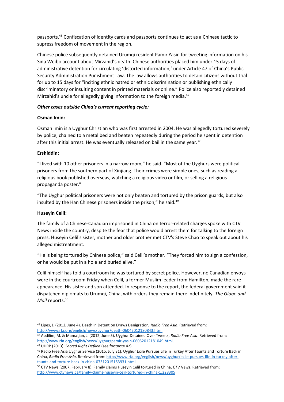passports.<sup>46</sup> Confiscation of identity cards and passports continues to act as a Chinese tactic to supress freedom of movement in the region.

Chinese police subsequently detained Urumqi resident Pamir Yasin for tweeting information on his Sina Weibo account about Mirzahid's death. Chinese authorities placed him under 15 days of administrative detention for circulating 'distorted information,' under Article 47 of China's Public Security Administration Punishment Law. The law allows authorities to detain citizens without trial for up to 15 days for "inciting ethnic hatred or ethnic discrimination or publishing ethnically discriminatory or insulting content in printed materials or online." Police also reportedly detained Mirzahid's uncle for allegedly giving information to the foreign media.<sup>47</sup>

#### *Other cases outside China's current reporting cycle:*

#### **Osman Imin:**

Osman Imin is a Uyghur Christian who was first arrested in 2004. He was allegedly tortured severely by police, chained to a metal bed and beaten repeatedly during the period he spent in detention after this initial arrest. He was eventually released on bail in the same year. <sup>48</sup>

#### **Ershiddin:**

"I lived with 10 other prisoners in a narrow room," he said. "Most of the Uyghurs were political prisoners from the southern part of Xinjiang. Their crimes were simple ones, such as reading a religious book published overseas, watching a religious video or film, or selling a religious propaganda poster."

"The Uyghur political prisoners were not only beaten and tortured by the prison guards, but also insulted by the Han Chinese prisoners inside the prison," he said.<sup>49</sup>

## **Huseyin Celil:**

The family of a Chinese-Canadian imprisoned in China on terror-related charges spoke with CTV News inside the country, despite the fear that police would arrest them for talking to the foreign press. Huseyin Celil's sister, mother and older brother met CTV's Steve Chao to speak out about his alleged mistreatment.

"He is being tortured by Chinese police," said Celil's mother. "They forced him to sign a confession, or he would be put in a hole and buried alive."

Celil himself has told a courtroom he was tortured by secret police. However, no Canadian envoys were in the courtroom Friday when Celil, a former Muslim leader from Hamilton, made the rare appearance. His sister and son attended. In response to the report, the federal government said it dispatched diplomats to Urumqi, China, with orders they remain there indefinitely, *The Globe and Mail* reports.<sup>50</sup>

<sup>1</sup> <sup>46</sup> Lipes, J. (2012, June 4). Death in Detention Draws Denigration*, Radio Free Asia*. Retrieved from: [http://www.rfa.org/english/news/uyghur/death-06042012180843.html.](http://www.rfa.org/english/news/uyghur/death-06042012180843.html)

<sup>47</sup> Abdilim, M. & Mamatjan, J. (2012, June 5). Uyghur Detained Over Tweets, *Radio Free Asia*. Retrieved from: [http://www.rfa.org/english/news/uyghur/pamir-yasin-06052012181049.html.](http://www.rfa.org/english/news/uyghur/pamir-yasin-06052012181049.html) 

<sup>48</sup> UHRP (2013). *Sacred Right Defiled* (see footnote 42)

<sup>49</sup> Radio Free Asia Uyghur Service (2015, July 31). Uyghur Exile Pursues Life in Turkey After Taunts and Torture Back in China, *Radio Free Asia*. Retrieved from[: http://www.rfa.org/english/news/uyghur/exile-pursues-life-in-turkey-after](http://www.rfa.org/english/news/uyghur/exile-pursues-life-in-turkey-after-taunts-and-torture-back-in-china-07312015153931.html)[taunts-and-torture-back-in-china-07312015153931.html](http://www.rfa.org/english/news/uyghur/exile-pursues-life-in-turkey-after-taunts-and-torture-back-in-china-07312015153931.html)

<sup>50</sup> CTV News (2007, February 8). Family claims Huseyin Celil tortured in China, *CTV News*. Retrieved from: <http://www.ctvnews.ca/family-claims-huseyin-celil-tortured-in-china-1.228305>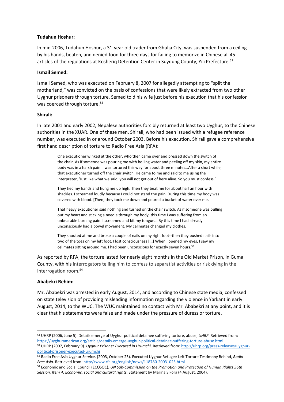#### **Tudahun Hoshur:**

In mid-2006, Tudahun Hoshur, a 31-year old trader from Ghulja City, was suspended from a ceiling by his hands, beaten, and denied food for three days for failing to memorize in Chinese all 45 articles of the regulations at Kosheriq Detention Center in Suydung County, Yili Prefecture.<sup>51</sup>

#### **Ismail Semed:**

Ismail Semed, who was executed on February 8, 2007 for allegedly attempting to "split the motherland," was convicted on the basis of confessions that were likely extracted from two other Uyghur prisoners through torture. Semed told his wife just before his execution that his confession was coerced through torture.<sup>52</sup>

#### **Shirali:**

In late 2001 and early 2002, Nepalese authorities forcibly returned at least two Uyghur, to the Chinese authorities in the XUAR. One of these men, Shirali, who had been issued with a refugee reference number, was executed in or around October 2003. Before his execution, Shirali gave a comprehensive first hand description of torture to Radio Free Asia (RFA):

One executioner winked at the other, who then came over and pressed down the switch of the chair. As if someone was pouring me with boiling water and peeling off my skin, my entire body was in a harsh pain. I was tortured this way for about three minutes…After a short while, that executioner turned off the chair switch. He came to me and said to me using the interpreter, 'Just like what we said, you will not get out of here alive. So you must confess.'

They tied my hands and hung me up high. Then they beat me for about half an hour with shackles. I screamed loudly because I could not stand the pain. During this time my body was covered with blood. [Then] they took me down and poured a bucket of water over me.

That heavy executioner said nothing and turned on the chair switch. As if someone was pulling out my heart and sticking a needle through my body, this time I was suffering from an unbearable burning pain. I screamed and bit my tongue... By this time I had already unconsciously had a bowel movement. My cellmates changed my clothes.

They shouted at me and broke a couple of nails on my right foot--then they pushed nails into two of the toes on my left foot. I lost consciousness [...] When I opened my eyes, I saw my cellmates sitting around me. I had been unconscious for exactly seven hours.<sup>53</sup>

As reported by RFA, the torture lasted for nearly eight months in the Old Market Prison, in Guma County, with his interrogators telling him to confess to separatist activities or risk dying in the interrogation room.<sup>54</sup>

#### **Ababekri Rehim:**

**.** 

Mr. Ababekri was arrested in early August, 2014, and according to Chinese state media, confessed on state television of providing misleading information regarding the violence in Yarkant in early August, 2014, to the WUC. The WUC maintained no contact with Mr. Ababekri at any point, and it is clear that his statements were false and made under the pressure of duress or torture.

<sup>51</sup> UHRP (2006, June 5). Details emerge of Uyghur political detainee suffering torture, abuse, *UHRP*. Retrieved from: <https://uyghuramerican.org/article/details-emerge-uyghur-political-detainee-suffering-torture-abuse.html>

<sup>52</sup> UHRP (2007, February 9). *Uyghur Prisoner Executed in Urumchi*. Retrieved from: [http://uhrp.org/press-releases/uyghur](http://uhrp.org/press-releases/uyghur-political-prisoner-executed-urumchi)[political-prisoner-executed-urumchi](http://uhrp.org/press-releases/uyghur-political-prisoner-executed-urumchi)

<sup>53</sup> Radio Free Asia Uyghur Service. (2003, October 23). Executed Uyghur Refugee Left Torture Testimony Behind, *Radio Free Asia*. Retrieved from[: http://www.rfa.org/english/news/118780-20031023.html](http://www.rfa.org/english/news/118780-20031023.html)

<sup>54</sup> Economic and Social Council (ECOSOC), *UN Sub-Commission on the Promotion and Protection of Human Rights 56th Session, Item 4: Economic, social and cultural rights.* Statement by Marina Sikora (4 August, 2004).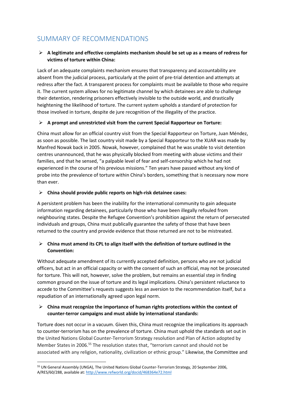# <span id="page-15-0"></span>SUMMARY OF RECOMMENDATIONS

## **A legitimate and effective complaints mechanism should be set up as a means of redress for victims of torture within China:**

Lack of an adequate complaints mechanism ensures that transparency and accountability are absent from the judicial process, particularly at the point of pre-trial detention and attempts at redress after the fact. A transparent process for complaints must be available to those who require it. The current system allows for no legitimate channel by which detainees are able to challenge their detention, rendering prisoners effectively invisible to the outside world, and drastically heightening the likelihood of torture. The current system upholds a standard of protection for those involved in torture, despite de jure recognition of the illegality of the practice.

#### **A prompt and unrestricted visit from the current Special Rapporteur on Torture:**

China must allow for an official country visit from the Special Rapporteur on Torture, Juan Méndez, as soon as possible. The last country visit made by a Special Rapporteur to the XUAR was made by Manfred Nowak back in 2005. Nowak, however, complained that he was unable to visit detention centres unannounced, that he was physically blocked from meeting with abuse victims and their families, and that he sensed, "a palpable level of fear and self-censorship which he had not experienced in the course of his previous missions." Ten years have passed without any kind of probe into the prevalence of torture within China's borders, something that is necessary now more than ever.

#### **China should provide public reports on high-risk detainee cases:**

A persistent problem has been the inability for the international community to gain adequate information regarding detainees, particularly those who have been illegally refouled from neighbouring states. Despite the Refugee Convention's prohibition against the return of persecuted individuals and groups, China must publically guarantee the safety of those that have been returned to the country and provide evidence that those returned are not to be mistreated.

## **China must amend its CPL to align itself with the definition of torture outlined in the Convention:**

Without adequate amendment of its currently accepted definition, persons who are not judicial officers, but act in an official capacity or with the consent of such an official, may not be prosecuted for torture. This will not, however, solve the problem, but remains an essential step in finding common ground on the issue of torture and its legal implications. China's persistent reluctance to accede to the Committee's requests suggests less an aversion to the recommendation itself, but a repudiation of an internationally agreed upon legal norm.

## **China must recognize the importance of human rights protections within the context of counter-terror campaigns and must abide by international standards:**

Torture does not occur in a vacuum. Given this, China must recognize the implications its approach to counter-terrorism has on the prevalence of torture. China must uphold the standards set out in the United Nations Global Counter-Terrorism Strategy resolution and Plan of Action adopted by Member States in 2006.<sup>55</sup> The resolution states that, "terrorism cannot and should not be associated with any religion, nationality, civilization or ethnic group." Likewise, the Committee and

<sup>55</sup> UN General Assembly (UNGA), The United Nations Global Counter-Terrorism Strategy, 20 September 2006, A/RES/60/288, available at[: http://www.refworld.org/docid/468364e72.html](http://www.refworld.org/docid/468364e72.html)